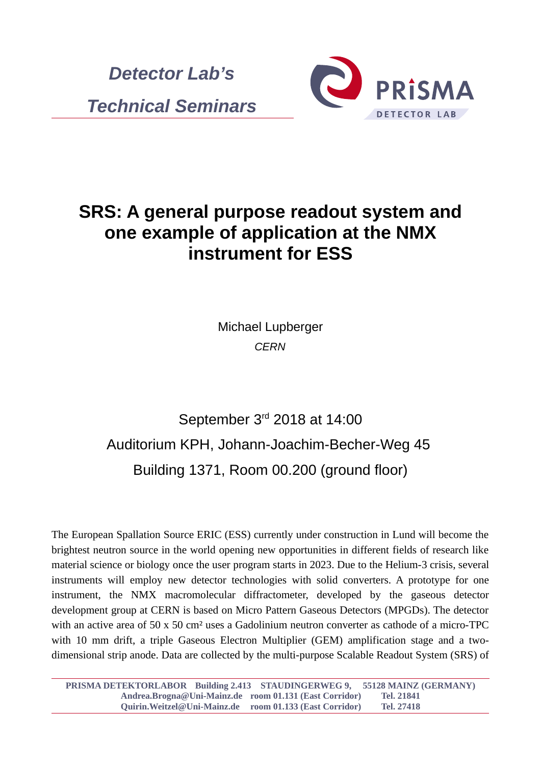



## **SRS: A general purpose readout system and one example of application at the NMX instrument for ESS**

Michael Lupberger *CERN*

## September 3rd 2018 at 14:00 Auditorium KPH, Johann-Joachim-Becher-Weg 45 Building 1371, Room 00.200 (ground floor)

The European Spallation Source ERIC (ESS) currently under construction in Lund will become the brightest neutron source in the world opening new opportunities in different fields of research like material science or biology once the user program starts in 2023. Due to the Helium-3 crisis, several instruments will employ new detector technologies with solid converters. A prototype for one instrument, the NMX macromolecular diffractometer, developed by the gaseous detector development group at CERN is based on Micro Pattern Gaseous Detectors (MPGDs). The detector with an active area of 50 x 50 cm<sup>2</sup> uses a Gadolinium neutron converter as cathode of a micro-TPC with 10 mm drift, a triple Gaseous Electron Multiplier (GEM) amplification stage and a twodimensional strip anode. Data are collected by the multi-purpose Scalable Readout System (SRS) of

**PRISMA DETEKTORLABOR Building 2.413 STAUDINGERWEG 9, 55128 MAINZ (GERMANY) Andrea.Brogna@Uni-Mainz.de room 01.131 (East Corridor) Tel. 21841 Quirin.Weitzel@Uni-Mainz.de room 01.133 (East Corridor) Tel. 27418**